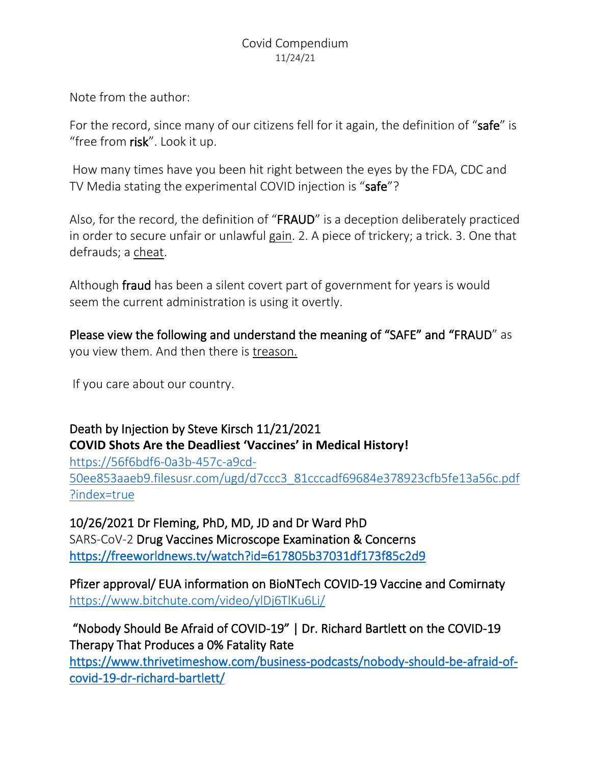Note from the author:

For the record, since many of our citizens fell for it again, the definition of "safe" is "free from risk". Look it up.

How many times have you been hit right between the eyes by the FDA, CDC and TV Media stating the experimental COVID injection is "safe"?

Also, for the record, the definition of "FRAUD" is a deception deliberately practiced in order to secure unfair or unlawful gain. 2. A piece of trickery; a trick. 3. One that defrauds; a cheat.

Although fraud has been a silent covert part of government for years is would seem the current administration is using it overtly.

Please view the following and understand the meaning of "SAFE" and "FRAUD" as you view them. And then there is treason.

If you care about our country.

# Death by Injection by Steve Kirsch 11/21/2021 **COVID Shots Are the Deadliest 'Vaccines' in Medical History!**

[https://56f6bdf6-0a3b-457c-a9cd-](https://56f6bdf6-0a3b-457c-a9cd-50ee853aaeb9.filesusr.com/ugd/d7ccc3_81cccadf69684e378923cfb5fe13a56c.pdf?index=true)[50ee853aaeb9.filesusr.com/ugd/d7ccc3\\_81cccadf69684e378923cfb5fe13a56c.pdf](https://56f6bdf6-0a3b-457c-a9cd-50ee853aaeb9.filesusr.com/ugd/d7ccc3_81cccadf69684e378923cfb5fe13a56c.pdf?index=true) [?index=true](https://56f6bdf6-0a3b-457c-a9cd-50ee853aaeb9.filesusr.com/ugd/d7ccc3_81cccadf69684e378923cfb5fe13a56c.pdf?index=true)

10/26/2021 Dr Fleming, PhD, MD, JD and Dr Ward PhD SARS-CoV-2 Drug Vaccines Microscope Examination & Concerns <https://freeworldnews.tv/watch?id=617805b37031df173f85c2d9>

Pfizer approval/ EUA information on BioNTech COVID-19 Vaccine and Comirnaty <https://www.bitchute.com/video/ylDj6TlKu6Li/>

"Nobody Should Be Afraid of COVID-19" | Dr. Richard Bartlett on the COVID-19 Therapy That Produces a 0% Fatality Rate

[https://www.thrivetimeshow.com/business-podcasts/nobody-should-be-afraid-of](https://www.thrivetimeshow.com/business-podcasts/nobody-should-be-afraid-of-covid-19-dr-richard-bartlett/)[covid-19-dr-richard-bartlett/](https://www.thrivetimeshow.com/business-podcasts/nobody-should-be-afraid-of-covid-19-dr-richard-bartlett/)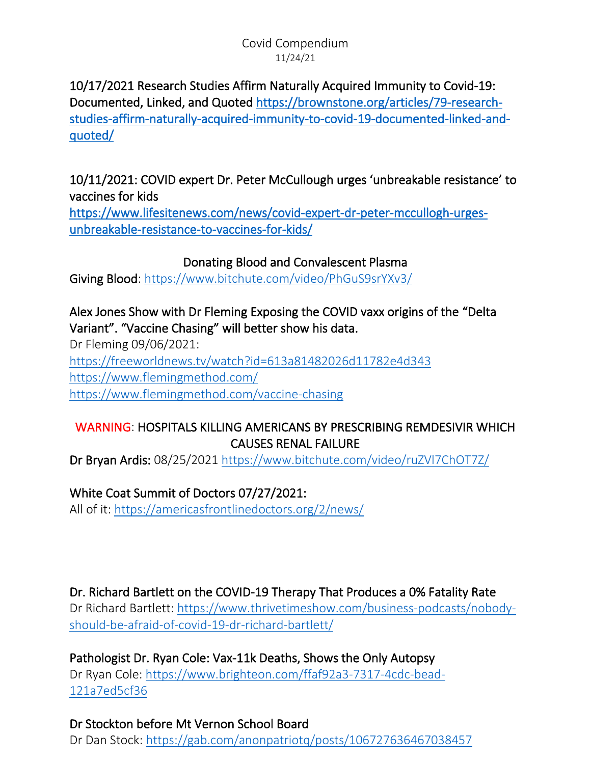10/17/2021 Research Studies Affirm Naturally Acquired Immunity to Covid-19: Documented, Linked, and Quoted [https://brownstone.org/articles/79-research](https://brownstone.org/articles/79-research-studies-affirm-naturally-acquired-immunity-to-covid-19-documented-linked-and-quoted/)[studies-affirm-naturally-acquired-immunity-to-covid-19-documented-linked-and](https://brownstone.org/articles/79-research-studies-affirm-naturally-acquired-immunity-to-covid-19-documented-linked-and-quoted/)[quoted/](https://brownstone.org/articles/79-research-studies-affirm-naturally-acquired-immunity-to-covid-19-documented-linked-and-quoted/) 

10/11/2021: COVID expert Dr. Peter McCullough urges 'unbreakable resistance' to vaccines for kids

[https://www.lifesitenews.com/news/covid-expert-dr-peter-mccullogh-urges](https://www.lifesitenews.com/news/covid-expert-dr-peter-mccullogh-urges-unbreakable-resistance-to-vaccines-for-kids/)[unbreakable-resistance-to-vaccines-for-kids/](https://www.lifesitenews.com/news/covid-expert-dr-peter-mccullogh-urges-unbreakable-resistance-to-vaccines-for-kids/) 

## Donating Blood and Convalescent Plasma

Giving Blood:<https://www.bitchute.com/video/PhGuS9srYXv3/>

## Alex Jones Show with Dr Fleming Exposing the COVID vaxx origins of the "Delta Variant". "Vaccine Chasing" will better show his data.

Dr Fleming 09/06/2021: <https://freeworldnews.tv/watch?id=613a81482026d11782e4d343> <https://www.flemingmethod.com/> <https://www.flemingmethod.com/vaccine-chasing>

## WARNING: HOSPITALS KILLING AMERICANS BY PRESCRIBING REMDESIVIR WHICH CAUSES RENAL FAILURE

Dr Bryan Ardis: 08/25/2021<https://www.bitchute.com/video/ruZVl7ChOT7Z/>

### White Coat Summit of Doctors 07/27/2021:

All of it:<https://americasfrontlinedoctors.org/2/news/>

### Dr. Richard Bartlett on the COVID-19 Therapy That Produces a 0% Fatality Rate

Dr Richard Bartlett: [https://www.thrivetimeshow.com/business-podcasts/nobody](https://www.thrivetimeshow.com/business-podcasts/nobody-should-be-afraid-of-covid-19-dr-richard-bartlett/)[should-be-afraid-of-covid-19-dr-richard-bartlett/](https://www.thrivetimeshow.com/business-podcasts/nobody-should-be-afraid-of-covid-19-dr-richard-bartlett/)

Pathologist Dr. Ryan Cole: Vax-11k Deaths, Shows the Only Autopsy Dr Ryan Cole: [https://www.brighteon.com/ffaf92a3-7317-4cdc-bead-](https://www.brighteon.com/ffaf92a3-7317-4cdc-bead-121a7ed5cf36)[121a7ed5cf36](https://www.brighteon.com/ffaf92a3-7317-4cdc-bead-121a7ed5cf36)

Dr Stockton before Mt Vernon School Board Dr Dan Stock: <https://gab.com/anonpatriotq/posts/106727636467038457>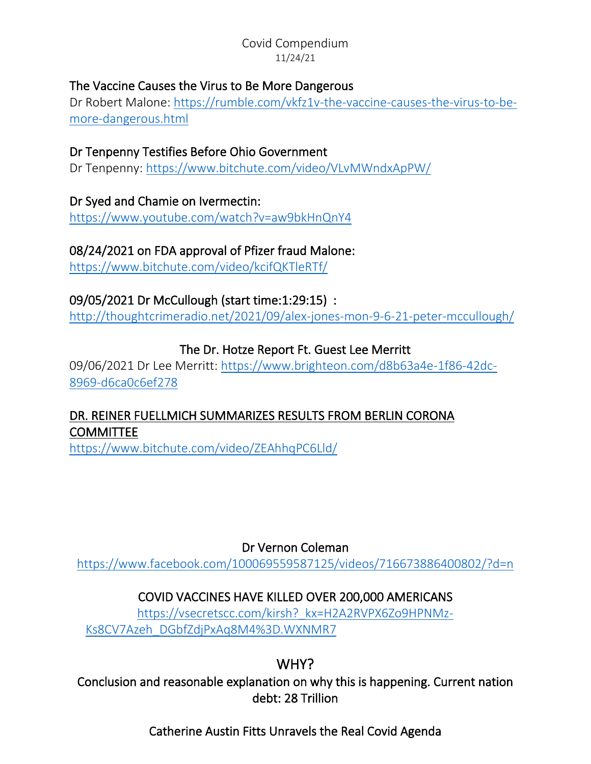### The Vaccine Causes the Virus to Be More Dangerous

Dr Robert Malone: [https://rumble.com/vkfz1v-the-vaccine-causes-the-virus-to-be](https://rumble.com/vkfz1v-the-vaccine-causes-the-virus-to-be-more-dangerous.html)[more-dangerous.html](https://rumble.com/vkfz1v-the-vaccine-causes-the-virus-to-be-more-dangerous.html)

# Dr Tenpenny Testifies Before Ohio Government

Dr Tenpenny:<https://www.bitchute.com/video/VLvMWndxApPW/>

#### Dr Syed and Chamie on Ivermectin:

<https://www.youtube.com/watch?v=aw9bkHnQnY4>

# 08/24/2021 on FDA approval of Pfizer fraud Malone:

<https://www.bitchute.com/video/kcifQKTleRTf/>

### 09/05/2021 Dr McCullough (start time:1:29:15) :

<http://thoughtcrimeradio.net/2021/09/alex-jones-mon-9-6-21-peter-mccullough/>

### The Dr. Hotze Report Ft. Guest Lee Merritt

09/06/2021 Dr Lee Merritt: [https://www.brighteon.com/d8b63a4e-1f86-42dc-](https://www.brighteon.com/d8b63a4e-1f86-42dc-8969-d6ca0c6ef278)[8969-d6ca0c6ef278](https://www.brighteon.com/d8b63a4e-1f86-42dc-8969-d6ca0c6ef278)

# DR. REINER FUELLMICH SUMMARIZES RESULTS FROM BERLIN CORONA COMMITTEE

https://www.bitchute.com/video/ZEAhhqPC6Lld/

### Dr Vernon Coleman

<https://www.facebook.com/100069559587125/videos/716673886400802/?d=n>

# COVID VACCINES HAVE KILLED OVER 200,000 AMERICANS

[https://vsecretscc.com/kirsh?\\_kx=H2A2RVPX6Zo9HPNMz-](https://vsecretscc.com/kirsh?_kx=H2A2RVPX6Zo9HPNMz-Ks8CV7Azeh_DGbfZdjPxAq8M4%3D.WXNMR7)Ks8CV7Azeh\_DGbfZdjPxAq8M4%3D.WXNMR7

# WHY?

Conclusion and reasonable explanation on why this is happening. Current nation debt: 28 Trillion

# Catherine Austin Fitts Unravels the Real Covid Agenda